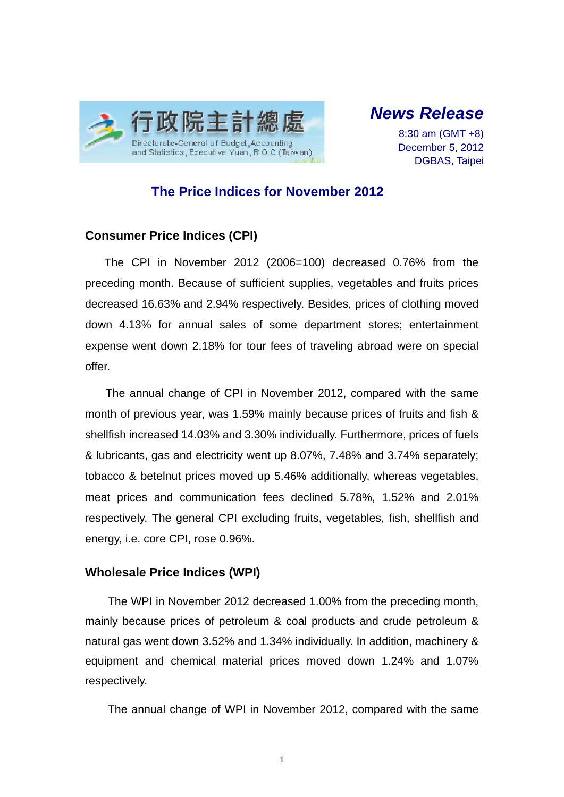

*News Release* 

8:30 am (GMT +8) December 5, 2012 DGBAS, Taipei

## **The Price Indices for November 2012**

## **Consumer Price Indices (CPI)**

The CPI in November 2012 (2006=100) decreased 0.76% from the preceding month. Because of sufficient supplies, vegetables and fruits prices decreased 16.63% and 2.94% respectively. Besides, prices of clothing moved down 4.13% for annual sales of some department stores; entertainment expense went down 2.18% for tour fees of traveling abroad were on special offer.

The annual change of CPI in November 2012, compared with the same month of previous year, was 1.59% mainly because prices of fruits and fish & shellfish increased 14.03% and 3.30% individually. Furthermore, prices of fuels & lubricants, gas and electricity went up 8.07%, 7.48% and 3.74% separately; tobacco & betelnut prices moved up 5.46% additionally, whereas vegetables, meat prices and communication fees declined 5.78%, 1.52% and 2.01% respectively. The general CPI excluding fruits, vegetables, fish, shellfish and energy, i.e. core CPI, rose 0.96%.

## **Wholesale Price Indices (WPI)**

The WPI in November 2012 decreased 1.00% from the preceding month, mainly because prices of petroleum & coal products and crude petroleum & natural gas went down 3.52% and 1.34% individually. In addition, machinery & equipment and chemical material prices moved down 1.24% and 1.07% respectively.

The annual change of WPI in November 2012, compared with the same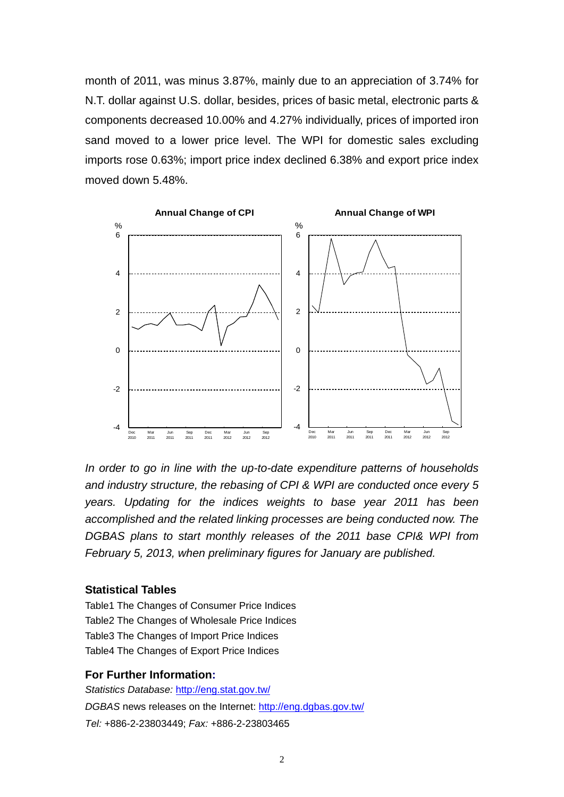month of 2011, was minus 3.87%, mainly due to an appreciation of 3.74% for N.T. dollar against U.S. dollar, besides, prices of basic metal, electronic parts & components decreased 10.00% and 4.27% individually, prices of imported iron sand moved to a lower price level. The WPI for domestic sales excluding imports rose 0.63%; import price index declined 6.38% and export price index moved down 5.48%.



*In order to go in line with the up-to-date expenditure patterns of households and industry structure, the rebasing of CPI & WPI are conducted once every 5 years. Updating for the indices weights to base year 2011 has been accomplished and the related linking processes are being conducted now. The DGBAS plans to start monthly releases of the 2011 base CPI& WPI from February 5, 2013, when preliminary figures for January are published.* 

### **Statistical Tables**

Table1 The Changes of Consumer Price Indices Table2 The Changes of Wholesale Price Indices Table3 The Changes of Import Price Indices Table4 The Changes of Export Price Indices

#### **For Further Information:**

*Statistics Database:* http://eng.stat.gov.tw/ *DGBAS* news releases on the Internet: http://eng.dgbas.gov.tw/ *Tel:* +886-2-23803449; *Fax:* +886-2-23803465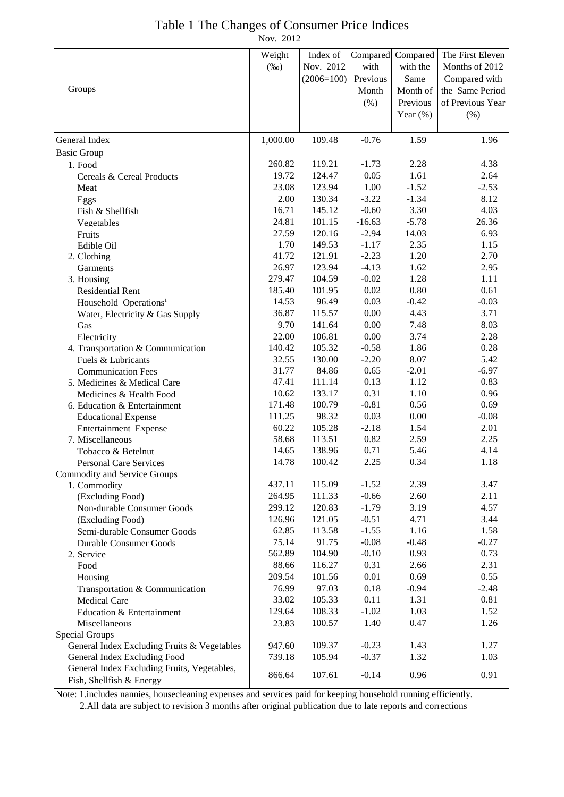# Table 1 The Changes of Consumer Price Indices

Nov. 2012

|                                             | Weight           | Index of         |                    | Compared Compared | The First Eleven |
|---------------------------------------------|------------------|------------------|--------------------|-------------------|------------------|
|                                             | $(\%0)$          | Nov. 2012        | with               | with the          | Months of 2012   |
|                                             |                  | $(2006=100)$     | Previous           | Same              | Compared with    |
| Groups                                      |                  |                  | Month              | Month of          | the Same Period  |
|                                             |                  |                  | (% )               | Previous          | of Previous Year |
|                                             |                  |                  |                    | Year $(\%)$       | (% )             |
| General Index                               | 1,000.00         | 109.48           | $-0.76$            | 1.59              | 1.96             |
| <b>Basic Group</b>                          |                  |                  |                    |                   |                  |
| 1. Food                                     | 260.82           | 119.21           | $-1.73$            | 2.28              | 4.38             |
| Cereals & Cereal Products                   | 19.72            | 124.47           | 0.05               | 1.61              | 2.64             |
| Meat                                        | 23.08            | 123.94           | 1.00               | $-1.52$           | $-2.53$          |
| Eggs                                        | 2.00             | 130.34           | $-3.22$            | $-1.34$           | 8.12             |
| Fish & Shellfish                            | 16.71            | 145.12           | $-0.60$            | 3.30              | 4.03             |
| Vegetables                                  | 24.81            | 101.15           | $-16.63$           | $-5.78$           | 26.36            |
| Fruits                                      | 27.59            | 120.16           | $-2.94$            | 14.03             | 6.93             |
| Edible Oil                                  | 1.70             | 149.53           | $-1.17$            | 2.35              | 1.15             |
| 2. Clothing                                 | 41.72            | 121.91           | $-2.23$            | 1.20              | 2.70             |
| Garments                                    | 26.97            | 123.94           | $-4.13$            | 1.62              | 2.95             |
| 3. Housing                                  | 279.47           | 104.59           | $-0.02$            | 1.28              | 1.11             |
| <b>Residential Rent</b>                     | 185.40           | 101.95           | 0.02               | 0.80              | 0.61             |
| Household Operations <sup>1</sup>           | 14.53            | 96.49            | 0.03               | $-0.42$           | $-0.03$          |
| Water, Electricity & Gas Supply             | 36.87            | 115.57           | 0.00               | 4.43              | 3.71             |
| Gas                                         | 9.70             | 141.64           | 0.00               | 7.48              | 8.03             |
| Electricity                                 | 22.00            | 106.81           | 0.00               | 3.74              | 2.28             |
| 4. Transportation & Communication           | 140.42           | 105.32           | $-0.58$            | 1.86              | 0.28             |
| Fuels & Lubricants                          | 32.55            | 130.00           | $-2.20$            | 8.07              | 5.42             |
| <b>Communication Fees</b>                   | 31.77            | 84.86            | 0.65               | $-2.01$           | $-6.97$          |
| 5. Medicines & Medical Care                 | 47.41            | 111.14           | 0.13               | 1.12              | 0.83             |
| Medicines & Health Food                     | 10.62            | 133.17           | 0.31               | 1.10              | 0.96             |
| 6. Education & Entertainment                | 171.48           | 100.79           | $-0.81$            | 0.56              | 0.69             |
| <b>Educational Expense</b>                  | 111.25           | 98.32            | 0.03               | 0.00              | $-0.08$          |
| Entertainment Expense                       | 60.22            | 105.28           | $-2.18$            | 1.54              | 2.01             |
| 7. Miscellaneous                            | 58.68            | 113.51           | 0.82               | 2.59              | 2.25             |
| Tobacco & Betelnut                          | 14.65            | 138.96           | 0.71               | 5.46              | 4.14             |
| <b>Personal Care Services</b>               | 14.78            | 100.42           | 2.25               | 0.34              | 1.18             |
| <b>Commodity and Service Groups</b>         |                  |                  |                    |                   |                  |
| 1. Commodity                                | 437.11           | 115.09           | $-1.52$            | 2.39              | 3.47             |
| (Excluding Food)                            | 264.95<br>299.12 | 111.33<br>120.83 | $-0.66$<br>$-1.79$ | 2.60<br>3.19      | 2.11<br>4.57     |
| Non-durable Consumer Goods                  | 126.96           | 121.05           | $-0.51$            | 4.71              | 3.44             |
| (Excluding Food)                            | 62.85            | 113.58           | $-1.55$            | 1.16              | 1.58             |
| Semi-durable Consumer Goods                 | 75.14            | 91.75            | $-0.08$            | $-0.48$           | $-0.27$          |
| Durable Consumer Goods<br>2. Service        | 562.89           | 104.90           | $-0.10$            | 0.93              | 0.73             |
|                                             | 88.66            | 116.27           | 0.31               | 2.66              | 2.31             |
| Food<br>Housing                             | 209.54           | 101.56           | 0.01               | 0.69              | 0.55             |
| Transportation & Communication              | 76.99            | 97.03            | 0.18               | $-0.94$           | $-2.48$          |
| Medical Care                                | 33.02            | 105.33           | 0.11               | 1.31              | 0.81             |
| Education & Entertainment                   | 129.64           | 108.33           | $-1.02$            | 1.03              | 1.52             |
| Miscellaneous                               | 23.83            | 100.57           | 1.40               | 0.47              | 1.26             |
| Special Groups                              |                  |                  |                    |                   |                  |
| General Index Excluding Fruits & Vegetables | 947.60           | 109.37           | $-0.23$            | 1.43              | 1.27             |
| General Index Excluding Food                | 739.18           | 105.94           | $-0.37$            | 1.32              | 1.03             |
| General Index Excluding Fruits, Vegetables, |                  |                  |                    |                   |                  |
| Fish, Shellfish & Energy                    | 866.64           | 107.61           | $-0.14$            | 0.96              | 0.91             |

Note: 1.includes nannies, housecleaning expenses and services paid for keeping household running efficiently.

2.All data are subject to revision 3 months after original publication due to late reports and corrections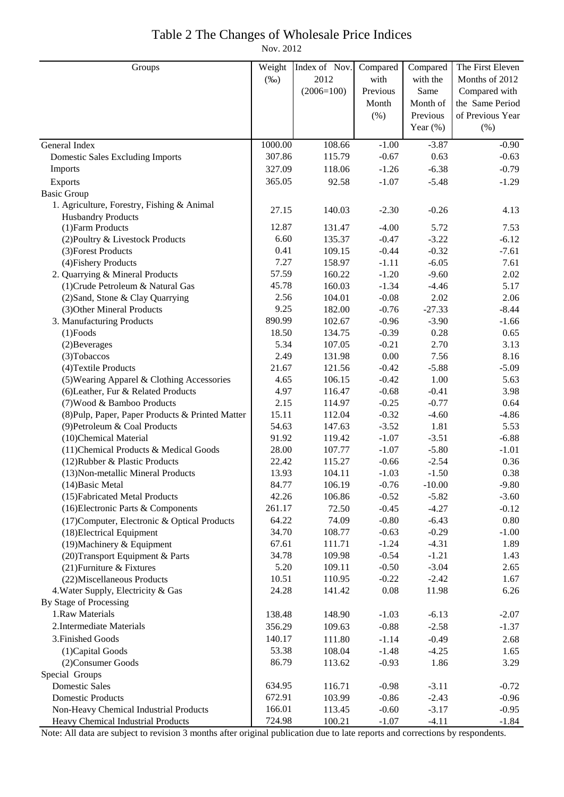## Table 2 The Changes of Wholesale Price Indices

Nov. 2012

| Groups                                                               | Weight         | Index of Nov.    | Compared           | Compared           | The First Eleven |
|----------------------------------------------------------------------|----------------|------------------|--------------------|--------------------|------------------|
|                                                                      | $(\%0)$        | 2012             | with               | with the           | Months of 2012   |
|                                                                      |                | $(2006=100)$     | Previous           | Same               | Compared with    |
|                                                                      |                |                  | Month              | Month of           | the Same Period  |
|                                                                      |                |                  | (%)                | Previous           | of Previous Year |
|                                                                      |                |                  |                    | Year $(\% )$       | (% )             |
| General Index                                                        | 1000.00        | 108.66           | $-1.00$            | $-3.87$            | $-0.90$          |
| <b>Domestic Sales Excluding Imports</b>                              | 307.86         | 115.79           | $-0.67$            | 0.63               | $-0.63$          |
| Imports                                                              | 327.09         | 118.06           | $-1.26$            | $-6.38$            | $-0.79$          |
| Exports                                                              | 365.05         | 92.58            | $-1.07$            | $-5.48$            | $-1.29$          |
| <b>Basic Group</b>                                                   |                |                  |                    |                    |                  |
| 1. Agriculture, Forestry, Fishing & Animal                           | 27.15          | 140.03           | $-2.30$            | $-0.26$            | 4.13             |
| <b>Husbandry Products</b>                                            |                |                  |                    |                    |                  |
| (1) Farm Products                                                    | 12.87          | 131.47           | $-4.00$            | 5.72               | 7.53             |
| (2) Poultry & Livestock Products                                     | 6.60           | 135.37           | $-0.47$            | $-3.22$            | $-6.12$          |
| (3) Forest Products                                                  | 0.41           | 109.15           | $-0.44$            | $-0.32$            | $-7.61$          |
| (4) Fishery Products                                                 | 7.27           | 158.97           | $-1.11$            | $-6.05$            | 7.61             |
| 2. Quarrying & Mineral Products                                      | 57.59          | 160.22           | $-1.20$            | $-9.60$            | 2.02             |
| (1) Crude Petroleum & Natural Gas                                    | 45.78          | 160.03           | $-1.34$            | $-4.46$            | 5.17             |
| (2) Sand, Stone & Clay Quarrying                                     | 2.56           | 104.01           | $-0.08$            | 2.02               | 2.06             |
| (3) Other Mineral Products                                           | 9.25           | 182.00           | $-0.76$            | $-27.33$           | $-8.44$          |
| 3. Manufacturing Products                                            | 890.99         | 102.67           | $-0.96$            | $-3.90$            | $-1.66$          |
| $(1)$ Foods                                                          | 18.50          | 134.75           | $-0.39$            | 0.28               | 0.65             |
| (2) Beverages                                                        | 5.34           | 107.05           | $-0.21$            | 2.70               | 3.13             |
| (3) Tobaccos                                                         | 2.49           | 131.98           | 0.00               | 7.56               | 8.16             |
| (4) Textile Products                                                 | 21.67          | 121.56           | $-0.42$            | $-5.88$            | $-5.09$          |
| (5) Wearing Apparel & Clothing Accessories                           | 4.65           | 106.15           | $-0.42$            | 1.00               | 5.63             |
| (6) Leather, Fur & Related Products                                  | 4.97           | 116.47           | $-0.68$            | $-0.41$            | 3.98             |
| (7) Wood & Bamboo Products                                           | 2.15           | 114.97           | $-0.25$            | $-0.77$            | 0.64             |
| (8) Pulp, Paper, Paper Products & Printed Matter                     | 15.11          | 112.04           | $-0.32$            | $-4.60$            | $-4.86$          |
| (9) Petroleum & Coal Products                                        | 54.63          | 147.63           | $-3.52$            | 1.81               | 5.53             |
| (10)Chemical Material                                                | 91.92<br>28.00 | 119.42<br>107.77 | $-1.07$<br>$-1.07$ | $-3.51$<br>$-5.80$ | $-6.88$          |
| (11) Chemical Products & Medical Goods                               | 22.42          | 115.27           | $-0.66$            | $-2.54$            | $-1.01$<br>0.36  |
| (12) Rubber & Plastic Products<br>(13) Non-metallic Mineral Products | 13.93          | 104.11           | $-1.03$            | $-1.50$            | 0.38             |
| (14) Basic Metal                                                     | 84.77          | 106.19           | $-0.76$            | $-10.00$           | $-9.80$          |
| (15) Fabricated Metal Products                                       | 42.26          | 106.86           | $-0.52$            | $-5.82$            | $-3.60$          |
| (16) Electronic Parts & Components                                   | 261.17         | 72.50            | $-0.45$            | $-4.27$            | $-0.12$          |
| (17) Computer, Electronic & Optical Products                         | 64.22          | 74.09            | $-0.80$            | $-6.43$            | 0.80             |
| (18) Electrical Equipment                                            | 34.70          | 108.77           | $-0.63$            | $-0.29$            | $-1.00$          |
| (19) Machinery & Equipment                                           | 67.61          | 111.71           | $-1.24$            | $-4.31$            | 1.89             |
| (20) Transport Equipment & Parts                                     | 34.78          | 109.98           | $-0.54$            | $-1.21$            | 1.43             |
| (21) Furniture & Fixtures                                            | 5.20           | 109.11           | $-0.50$            | $-3.04$            | 2.65             |
| (22) Miscellaneous Products                                          | 10.51          | 110.95           | $-0.22$            | $-2.42$            | 1.67             |
| 4. Water Supply, Electricity & Gas                                   | 24.28          | 141.42           | 0.08               | 11.98              | 6.26             |
| By Stage of Processing                                               |                |                  |                    |                    |                  |
| 1.Raw Materials                                                      | 138.48         | 148.90           | $-1.03$            | $-6.13$            | $-2.07$          |
| 2. Intermediate Materials                                            | 356.29         | 109.63           | $-0.88$            | $-2.58$            | $-1.37$          |
| 3. Finished Goods                                                    | 140.17         | 111.80           | $-1.14$            | $-0.49$            | 2.68             |
| (1) Capital Goods                                                    | 53.38          | 108.04           | $-1.48$            | $-4.25$            | 1.65             |
| (2) Consumer Goods                                                   | 86.79          | 113.62           | $-0.93$            | 1.86               | 3.29             |
| Special Groups                                                       |                |                  |                    |                    |                  |
| <b>Domestic Sales</b>                                                | 634.95         | 116.71           | $-0.98$            | $-3.11$            | $-0.72$          |
| <b>Domestic Products</b>                                             | 672.91         | 103.99           | $-0.86$            | $-2.43$            | $-0.96$          |
| Non-Heavy Chemical Industrial Products                               | 166.01         | 113.45           | $-0.60$            | $-3.17$            | $-0.95$          |
| Heavy Chemical Industrial Products                                   | 724.98         | 100.21           | $-1.07$            | $-4.11$            | $-1.84$          |

Note: All data are subject to revision 3 months after original publication due to late reports and corrections by respondents.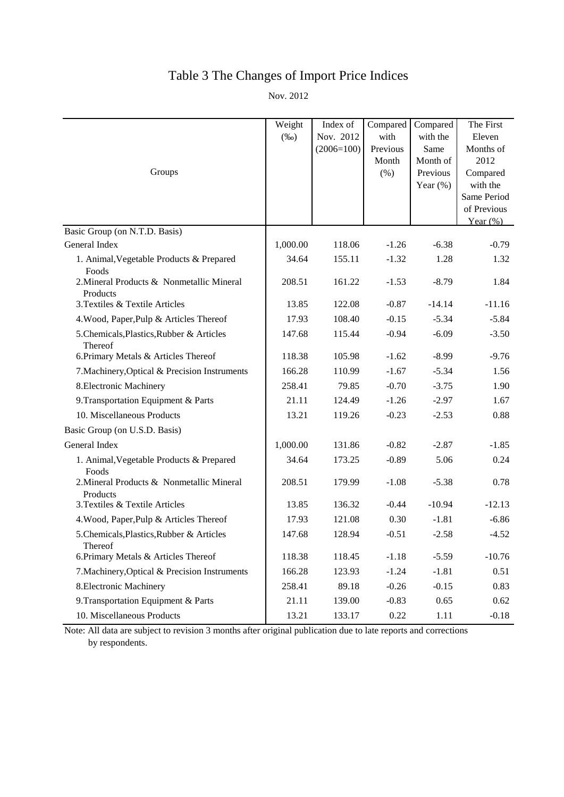# Table 3 The Changes of Import Price Indices

Nov. 2012

|                                                       | Weight<br>$(\%0)$ | Index of<br>Nov. 2012 | Compared<br>with | Compared<br>with the | The First<br>Eleven |
|-------------------------------------------------------|-------------------|-----------------------|------------------|----------------------|---------------------|
|                                                       |                   | $(2006=100)$          | Previous         | Same                 | Months of           |
|                                                       |                   |                       | Month            | Month of             | 2012                |
| Groups                                                |                   |                       | (% )             | Previous             | Compared            |
|                                                       |                   |                       |                  | Year $(\%)$          | with the            |
|                                                       |                   |                       |                  |                      | Same Period         |
|                                                       |                   |                       |                  |                      | of Previous         |
| Basic Group (on N.T.D. Basis)                         |                   |                       |                  |                      | Year $(\%)$         |
| General Index                                         | 1,000.00          | 118.06                | $-1.26$          | $-6.38$              | $-0.79$             |
| 1. Animal, Vegetable Products & Prepared<br>Foods     | 34.64             | 155.11                | $-1.32$          | 1.28                 | 1.32                |
| 2. Mineral Products & Nonmetallic Mineral<br>Products | 208.51            | 161.22                | $-1.53$          | $-8.79$              | 1.84                |
| 3. Textiles & Textile Articles                        | 13.85             | 122.08                | $-0.87$          | $-14.14$             | $-11.16$            |
| 4. Wood, Paper, Pulp & Articles Thereof               | 17.93             | 108.40                | $-0.15$          | $-5.34$              | $-5.84$             |
| 5. Chemicals, Plastics, Rubber & Articles<br>Thereof  | 147.68            | 115.44                | $-0.94$          | $-6.09$              | $-3.50$             |
| 6. Primary Metals & Articles Thereof                  | 118.38            | 105.98                | $-1.62$          | $-8.99$              | $-9.76$             |
| 7. Machinery, Optical & Precision Instruments         | 166.28            | 110.99                | $-1.67$          | $-5.34$              | 1.56                |
| 8. Electronic Machinery                               | 258.41            | 79.85                 | $-0.70$          | $-3.75$              | 1.90                |
| 9. Transportation Equipment & Parts                   | 21.11             | 124.49                | $-1.26$          | $-2.97$              | 1.67                |
| 10. Miscellaneous Products                            | 13.21             | 119.26                | $-0.23$          | $-2.53$              | 0.88                |
| Basic Group (on U.S.D. Basis)                         |                   |                       |                  |                      |                     |
| General Index                                         | 1,000.00          | 131.86                | $-0.82$          | $-2.87$              | $-1.85$             |
| 1. Animal, Vegetable Products & Prepared<br>Foods     | 34.64             | 173.25                | $-0.89$          | 5.06                 | 0.24                |
| 2. Mineral Products & Nonmetallic Mineral<br>Products | 208.51            | 179.99                | $-1.08$          | $-5.38$              | 0.78                |
| 3. Textiles & Textile Articles                        | 13.85             | 136.32                | $-0.44$          | $-10.94$             | $-12.13$            |
| 4. Wood, Paper, Pulp & Articles Thereof               | 17.93             | 121.08                | 0.30             | $-1.81$              | $-6.86$             |
| 5. Chemicals, Plastics, Rubber & Articles<br>Thereof  | 147.68            | 128.94                | $-0.51$          | $-2.58$              | $-4.52$             |
| 6. Primary Metals & Articles Thereof                  | 118.38            | 118.45                | $-1.18$          | $-5.59$              | $-10.76$            |
| 7. Machinery, Optical & Precision Instruments         | 166.28            | 123.93                | $-1.24$          | $-1.81$              | 0.51                |
| 8. Electronic Machinery                               | 258.41            | 89.18                 | $-0.26$          | $-0.15$              | 0.83                |
| 9. Transportation Equipment & Parts                   | 21.11             | 139.00                | $-0.83$          | 0.65                 | 0.62                |
| 10. Miscellaneous Products                            | 13.21             | 133.17                | 0.22             | 1.11                 | $-0.18$             |

Note: All data are subject to revision 3 months after original publication due to late reports and corrections by respondents.